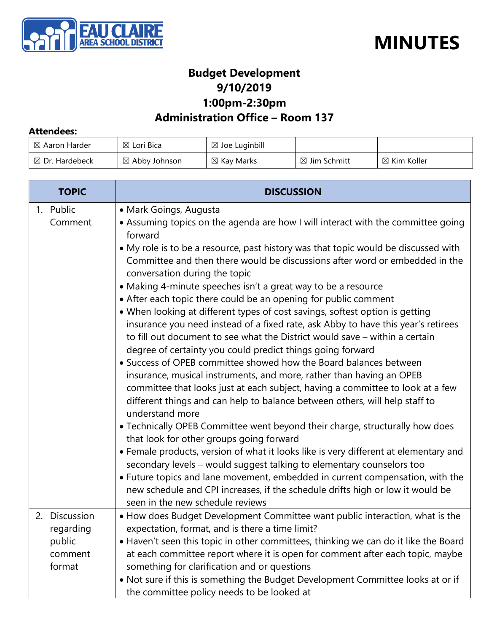



#### **Budget Development 9/10/2019 1:00pm-2:30pm**

### **Administration Office – Room 137**

#### **Attendees:**

| $\boxtimes$ Aaron Harder  | $\boxtimes$ Lori Bica    | $\boxtimes$ Joe Luginbill |                         |                        |
|---------------------------|--------------------------|---------------------------|-------------------------|------------------------|
| $\boxtimes$ Dr. Hardebeck | $\boxtimes$ Abby Johnson | $\boxtimes$ Kay Marks     | $\boxtimes$ Jim Schmitt | $\boxtimes$ Kim Koller |

| <b>TOPIC</b>                                              | <b>DISCUSSION</b>                                                                                                                                                                                                                                                                                                                                                                                                                                                                                                                                                                                                                                                                                                                                                                                                                                                                                                                                                                                                                                                                                                                                                                                                                              |  |
|-----------------------------------------------------------|------------------------------------------------------------------------------------------------------------------------------------------------------------------------------------------------------------------------------------------------------------------------------------------------------------------------------------------------------------------------------------------------------------------------------------------------------------------------------------------------------------------------------------------------------------------------------------------------------------------------------------------------------------------------------------------------------------------------------------------------------------------------------------------------------------------------------------------------------------------------------------------------------------------------------------------------------------------------------------------------------------------------------------------------------------------------------------------------------------------------------------------------------------------------------------------------------------------------------------------------|--|
| 1. Public<br>Comment                                      | • Mark Goings, Augusta<br>• Assuming topics on the agenda are how I will interact with the committee going<br>forward<br>• My role is to be a resource, past history was that topic would be discussed with<br>Committee and then there would be discussions after word or embedded in the<br>conversation during the topic<br>• Making 4-minute speeches isn't a great way to be a resource<br>• After each topic there could be an opening for public comment<br>• When looking at different types of cost savings, softest option is getting<br>insurance you need instead of a fixed rate, ask Abby to have this year's retirees<br>to fill out document to see what the District would save – within a certain<br>degree of certainty you could predict things going forward<br>• Success of OPEB committee showed how the Board balances between<br>insurance, musical instruments, and more, rather than having an OPEB<br>committee that looks just at each subject, having a committee to look at a few<br>different things and can help to balance between others, will help staff to<br>understand more<br>• Technically OPEB Committee went beyond their charge, structurally how does<br>that look for other groups going forward |  |
|                                                           | • Female products, version of what it looks like is very different at elementary and<br>secondary levels - would suggest talking to elementary counselors too<br>• Future topics and lane movement, embedded in current compensation, with the<br>new schedule and CPI increases, if the schedule drifts high or low it would be<br>seen in the new schedule reviews                                                                                                                                                                                                                                                                                                                                                                                                                                                                                                                                                                                                                                                                                                                                                                                                                                                                           |  |
| 2. Discussion<br>regarding<br>public<br>comment<br>format | • How does Budget Development Committee want public interaction, what is the<br>expectation, format, and is there a time limit?<br>• Haven't seen this topic in other committees, thinking we can do it like the Board<br>at each committee report where it is open for comment after each topic, maybe<br>something for clarification and or questions<br>. Not sure if this is something the Budget Development Committee looks at or if<br>the committee policy needs to be looked at                                                                                                                                                                                                                                                                                                                                                                                                                                                                                                                                                                                                                                                                                                                                                       |  |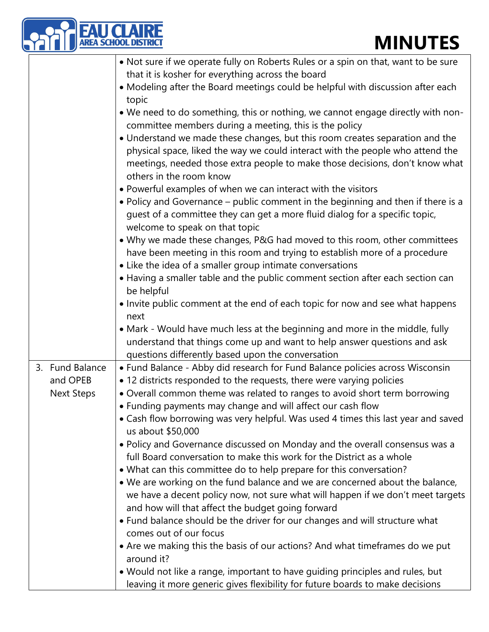| <b>EAU CLAIRE</b><br>AREA SCHOOL DISTRIC         | <b>MINUTES</b>                                                                                                                                                                                                                                                                                                                                                                                                                                                                                                                                                                                                                                                                                                                                                                                                                                                                                                                                                                                                                                                                                                                                                                                                                                                                                                                                       |
|--------------------------------------------------|------------------------------------------------------------------------------------------------------------------------------------------------------------------------------------------------------------------------------------------------------------------------------------------------------------------------------------------------------------------------------------------------------------------------------------------------------------------------------------------------------------------------------------------------------------------------------------------------------------------------------------------------------------------------------------------------------------------------------------------------------------------------------------------------------------------------------------------------------------------------------------------------------------------------------------------------------------------------------------------------------------------------------------------------------------------------------------------------------------------------------------------------------------------------------------------------------------------------------------------------------------------------------------------------------------------------------------------------------|
|                                                  |                                                                                                                                                                                                                                                                                                                                                                                                                                                                                                                                                                                                                                                                                                                                                                                                                                                                                                                                                                                                                                                                                                                                                                                                                                                                                                                                                      |
|                                                  | . Not sure if we operate fully on Roberts Rules or a spin on that, want to be sure<br>that it is kosher for everything across the board<br>• Modeling after the Board meetings could be helpful with discussion after each<br>topic<br>• We need to do something, this or nothing, we cannot engage directly with non-<br>committee members during a meeting, this is the policy<br>• Understand we made these changes, but this room creates separation and the<br>physical space, liked the way we could interact with the people who attend the<br>meetings, needed those extra people to make those decisions, don't know what<br>others in the room know<br>• Powerful examples of when we can interact with the visitors<br>• Policy and Governance – public comment in the beginning and then if there is a<br>guest of a committee they can get a more fluid dialog for a specific topic,<br>welcome to speak on that topic<br>• Why we made these changes, P&G had moved to this room, other committees<br>have been meeting in this room and trying to establish more of a procedure<br>• Like the idea of a smaller group intimate conversations<br>• Having a smaller table and the public comment section after each section can<br>be helpful<br>• Invite public comment at the end of each topic for now and see what happens<br>next |
|                                                  | • Mark - Would have much less at the beginning and more in the middle, fully<br>understand that things come up and want to help answer questions and ask                                                                                                                                                                                                                                                                                                                                                                                                                                                                                                                                                                                                                                                                                                                                                                                                                                                                                                                                                                                                                                                                                                                                                                                             |
|                                                  | questions differently based upon the conversation                                                                                                                                                                                                                                                                                                                                                                                                                                                                                                                                                                                                                                                                                                                                                                                                                                                                                                                                                                                                                                                                                                                                                                                                                                                                                                    |
| 3. Fund Balance<br>and OPEB<br><b>Next Steps</b> | • Fund Balance - Abby did research for Fund Balance policies across Wisconsin<br>• 12 districts responded to the requests, there were varying policies<br>• Overall common theme was related to ranges to avoid short term borrowing<br>• Funding payments may change and will affect our cash flow<br>• Cash flow borrowing was very helpful. Was used 4 times this last year and saved<br>us about \$50,000<br>• Policy and Governance discussed on Monday and the overall consensus was a<br>full Board conversation to make this work for the District as a whole<br>• What can this committee do to help prepare for this conversation?<br>. We are working on the fund balance and we are concerned about the balance,<br>we have a decent policy now, not sure what will happen if we don't meet targets<br>and how will that affect the budget going forward<br>• Fund balance should be the driver for our changes and will structure what<br>comes out of our focus<br>• Are we making this the basis of our actions? And what timeframes do we put<br>around it?<br>. Would not like a range, important to have guiding principles and rules, but<br>leaving it more generic gives flexibility for future boards to make decisions                                                                                                        |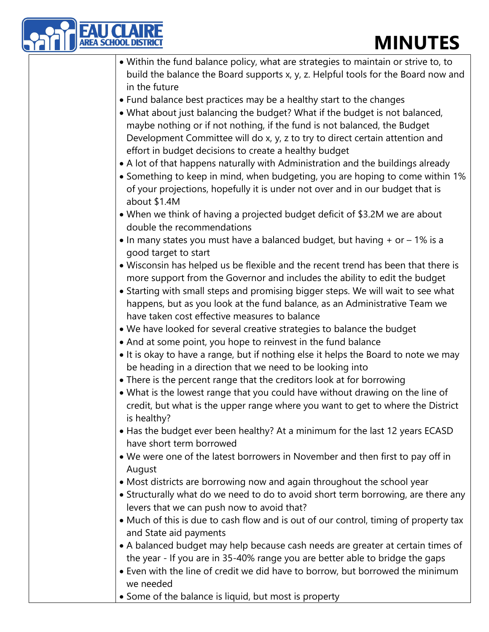

| <b>MINUTES</b>                                                                                                                                                                                                                                                                                                                                                                                                                                             |
|------------------------------------------------------------------------------------------------------------------------------------------------------------------------------------------------------------------------------------------------------------------------------------------------------------------------------------------------------------------------------------------------------------------------------------------------------------|
| • Within the fund balance policy, what are strategies to maintain or strive to, to<br>build the balance the Board supports x, y, z. Helpful tools for the Board now and<br>in the future                                                                                                                                                                                                                                                                   |
| • Fund balance best practices may be a healthy start to the changes<br>• What about just balancing the budget? What if the budget is not balanced,<br>maybe nothing or if not nothing, if the fund is not balanced, the Budget<br>Development Committee will do x, y, z to try to direct certain attention and<br>effort in budget decisions to create a healthy budget<br>• A lot of that happens naturally with Administration and the buildings already |
| • Something to keep in mind, when budgeting, you are hoping to come within 1%<br>of your projections, hopefully it is under not over and in our budget that is<br>about \$1.4M                                                                                                                                                                                                                                                                             |
| • When we think of having a projected budget deficit of \$3.2M we are about<br>double the recommendations                                                                                                                                                                                                                                                                                                                                                  |
| • In many states you must have a balanced budget, but having $+$ or $-$ 1% is a<br>good target to start                                                                                                                                                                                                                                                                                                                                                    |
| . Wisconsin has helped us be flexible and the recent trend has been that there is<br>more support from the Governor and includes the ability to edit the budget<br>• Starting with small steps and promising bigger steps. We will wait to see what                                                                                                                                                                                                        |
| happens, but as you look at the fund balance, as an Administrative Team we<br>have taken cost effective measures to balance                                                                                                                                                                                                                                                                                                                                |
| • We have looked for several creative strategies to balance the budget<br>• And at some point, you hope to reinvest in the fund balance<br>• It is okay to have a range, but if nothing else it helps the Board to note we may                                                                                                                                                                                                                             |
| be heading in a direction that we need to be looking into<br>• There is the percent range that the creditors look at for borrowing                                                                                                                                                                                                                                                                                                                         |
| • What is the lowest range that you could have without drawing on the line of<br>credit, but what is the upper range where you want to get to where the District<br>is healthy?                                                                                                                                                                                                                                                                            |
| • Has the budget ever been healthy? At a minimum for the last 12 years ECASD<br>have short term borrowed                                                                                                                                                                                                                                                                                                                                                   |
| • We were one of the latest borrowers in November and then first to pay off in<br>August                                                                                                                                                                                                                                                                                                                                                                   |
| • Most districts are borrowing now and again throughout the school year<br>• Structurally what do we need to do to avoid short term borrowing, are there any<br>levers that we can push now to avoid that?                                                                                                                                                                                                                                                 |
| • Much of this is due to cash flow and is out of our control, timing of property tax<br>and State aid payments                                                                                                                                                                                                                                                                                                                                             |
| • A balanced budget may help because cash needs are greater at certain times of<br>the year - If you are in 35-40% range you are better able to bridge the gaps<br>• Even with the line of credit we did have to borrow, but borrowed the minimum                                                                                                                                                                                                          |
| we needed<br>• Some of the balance is liquid, but most is property                                                                                                                                                                                                                                                                                                                                                                                         |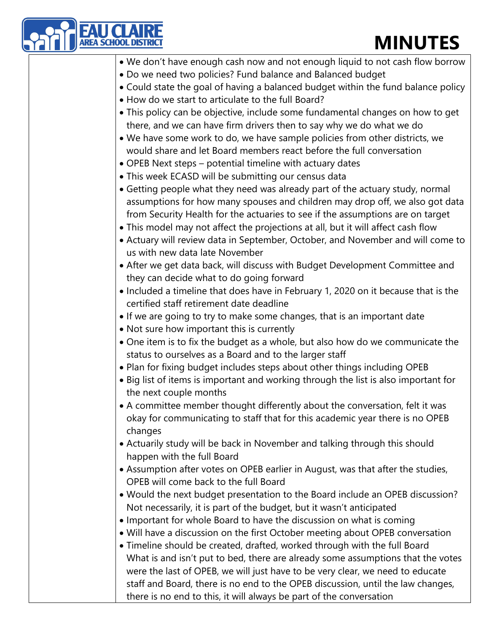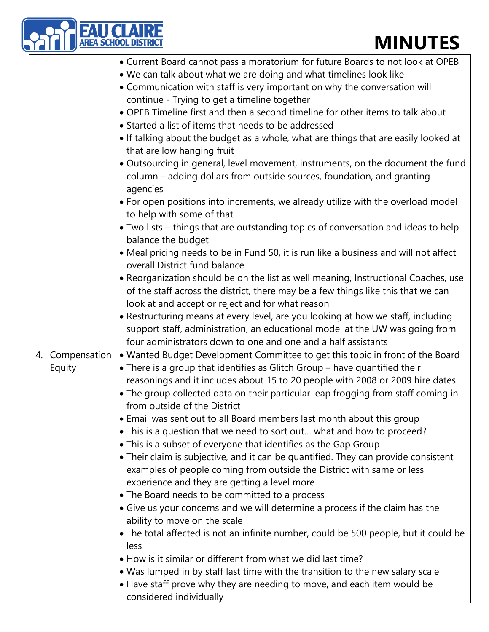|                           | <b>AREA SCHOOL DISTRIC</b><br><b>MINUTES</b>                                                                                                                                                                                                                                                                                                                                                                                                                                                                                                                                                                                                                                                                                                                                                                                                                                                                                                                                                                                                                                                                                                                                                                                                                                                                                     |
|---------------------------|----------------------------------------------------------------------------------------------------------------------------------------------------------------------------------------------------------------------------------------------------------------------------------------------------------------------------------------------------------------------------------------------------------------------------------------------------------------------------------------------------------------------------------------------------------------------------------------------------------------------------------------------------------------------------------------------------------------------------------------------------------------------------------------------------------------------------------------------------------------------------------------------------------------------------------------------------------------------------------------------------------------------------------------------------------------------------------------------------------------------------------------------------------------------------------------------------------------------------------------------------------------------------------------------------------------------------------|
|                           | • Current Board cannot pass a moratorium for future Boards to not look at OPEB<br>. We can talk about what we are doing and what timelines look like<br>• Communication with staff is very important on why the conversation will<br>continue - Trying to get a timeline together<br>• OPEB Timeline first and then a second timeline for other items to talk about<br>• Started a list of items that needs to be addressed<br>• If talking about the budget as a whole, what are things that are easily looked at<br>that are low hanging fruit<br>. Outsourcing in general, level movement, instruments, on the document the fund<br>column - adding dollars from outside sources, foundation, and granting<br>agencies<br>• For open positions into increments, we already utilize with the overload model<br>to help with some of that<br>• Two lists – things that are outstanding topics of conversation and ideas to help<br>balance the budget<br>• Meal pricing needs to be in Fund 50, it is run like a business and will not affect<br>overall District fund balance<br>• Reorganization should be on the list as well meaning, Instructional Coaches, use<br>of the staff across the district, there may be a few things like this that we can<br>look at and accept or reject and for what reason                   |
|                           | • Restructuring means at every level, are you looking at how we staff, including<br>support staff, administration, an educational model at the UW was going from<br>four administrators down to one and one and a half assistants                                                                                                                                                                                                                                                                                                                                                                                                                                                                                                                                                                                                                                                                                                                                                                                                                                                                                                                                                                                                                                                                                                |
| 4. Compensation<br>Equity | • Wanted Budget Development Committee to get this topic in front of the Board<br>• There is a group that identifies as Glitch Group – have quantified their<br>reasonings and it includes about 15 to 20 people with 2008 or 2009 hire dates<br>• The group collected data on their particular leap frogging from staff coming in<br>from outside of the District<br>• Email was sent out to all Board members last month about this group<br>• This is a question that we need to sort out what and how to proceed?<br>• This is a subset of everyone that identifies as the Gap Group<br>• Their claim is subjective, and it can be quantified. They can provide consistent<br>examples of people coming from outside the District with same or less<br>experience and they are getting a level more<br>• The Board needs to be committed to a process<br>• Give us your concerns and we will determine a process if the claim has the<br>ability to move on the scale<br>• The total affected is not an infinite number, could be 500 people, but it could be<br>less<br>• How is it similar or different from what we did last time?<br>• Was lumped in by staff last time with the transition to the new salary scale<br>• Have staff prove why they are needing to move, and each item would be<br>considered individually |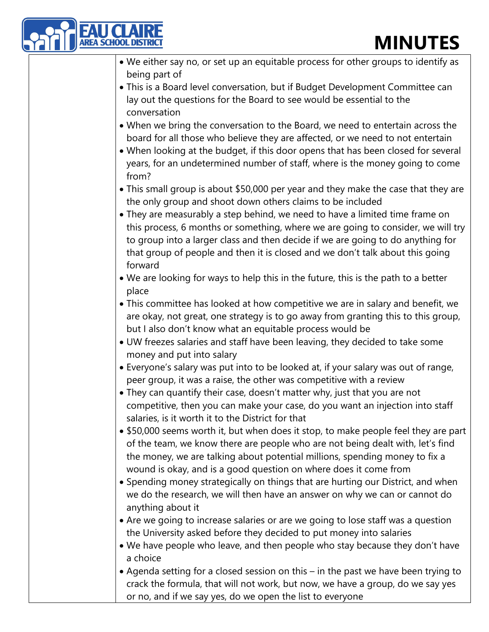